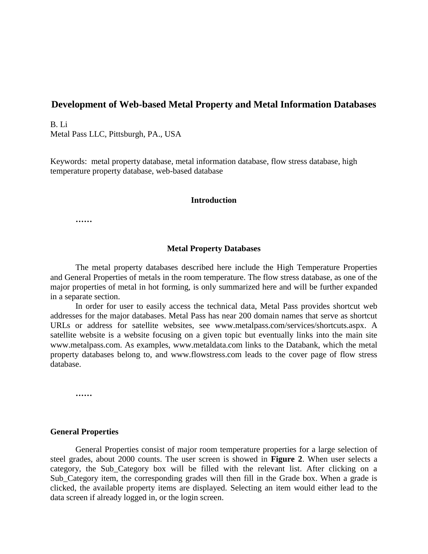# **Development of Web-based Metal Property and Metal Information Databases**

B. Li Metal Pass LLC, Pittsburgh, PA., USA

Keywords: metal property database, metal information database, flow stress database, high temperature property database, web-based database

### **Introduction**

**……**

### **Metal Property Databases**

The metal property databases described here include the High Temperature Properties and General Properties of metals in the room temperature. The flow stress database, as one of the major properties of metal in hot forming, is only summarized here and will be further expanded in a separate section.

In order for user to easily access the technical data, Metal Pass provides shortcut web addresses for the major databases. Metal Pass has near 200 domain names that serve as shortcut URLs or address for satellite websites, see www.metalpass.com/services/shortcuts.aspx. A satellite website is a website focusing on a given topic but eventually links into the main site www.metalpass.com. As examples, www.metaldata.com links to the Databank, which the metal property databases belong to, and www.flowstress.com leads to the cover page of flow stress database.

**……**

## **General Properties**

General Properties consist of major room temperature properties for a large selection of steel grades, about 2000 counts. The user screen is showed in **Figure 2**. When user selects a category, the Sub\_Category box will be filled with the relevant list. After clicking on a Sub Category item, the corresponding grades will then fill in the Grade box. When a grade is clicked, the available property items are displayed. Selecting an item would either lead to the data screen if already logged in, or the login screen.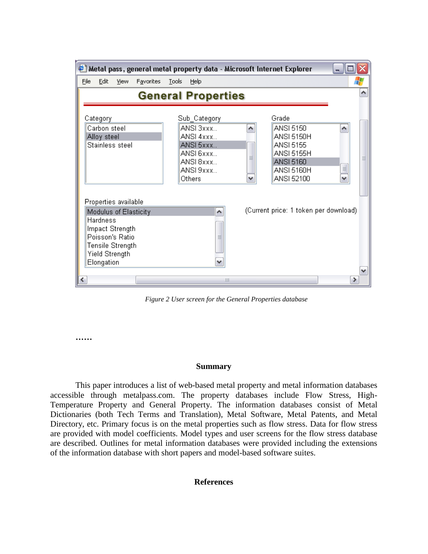

*Figure 2 User screen for the General Properties database*

**……**

### **Summary**

This paper introduces a list of web-based metal property and metal information databases accessible through metalpass.com. The property databases include Flow Stress, High-Temperature Property and General Property. The information databases consist of Metal Dictionaries (both Tech Terms and Translation), Metal Software, Metal Patents, and Metal Directory, etc. Primary focus is on the metal properties such as flow stress. Data for flow stress are provided with model coefficients. Model types and user screens for the flow stress database are described. Outlines for metal information databases were provided including the extensions of the information database with short papers and model-based software suites.

### **References**